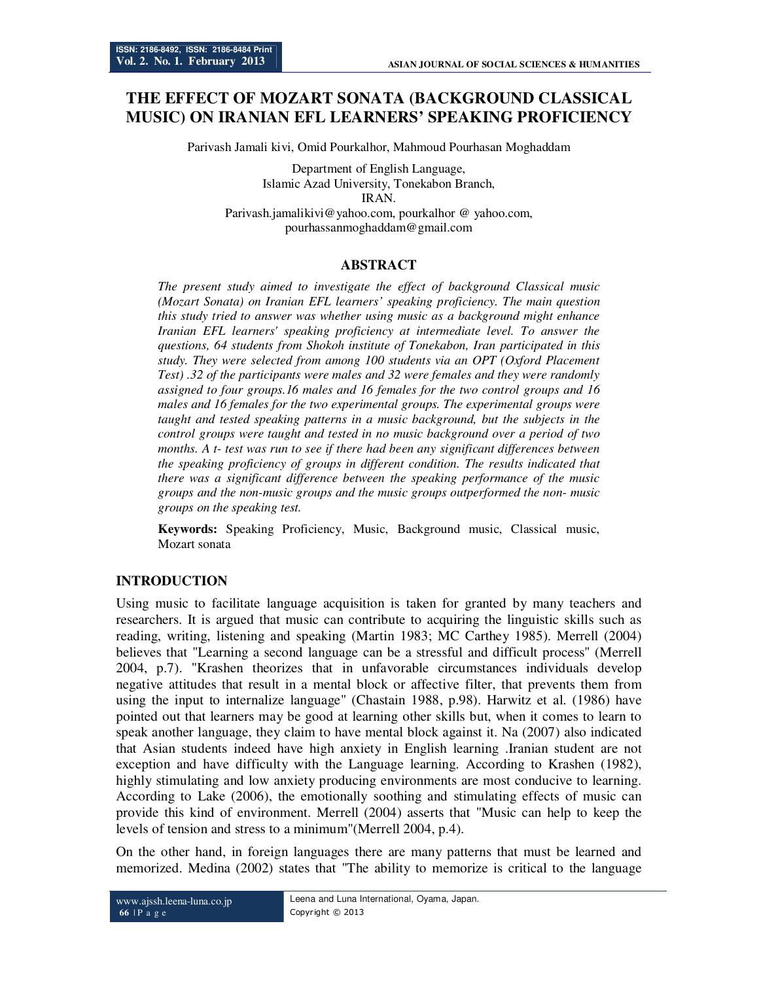# **THE EFFECT OF MOZART SONATA (BACKGROUND CLASSICAL MUSIC) ON IRANIAN EFL LEARNERS' SPEAKING PROFICIENCY**

Parivash Jamali kivi, Omid Pourkalhor, Mahmoud Pourhasan Moghaddam

Department of English Language, Islamic Azad University, Tonekabon Branch, IRAN. Parivash.jamalikivi@yahoo.com, pourkalhor @ yahoo.com, pourhassanmoghaddam@gmail.com

## **ABSTRACT**

*The present study aimed to investigate the effect of background Classical music (Mozart Sonata) on Iranian EFL learners' speaking proficiency. The main question this study tried to answer was whether using music as a background might enhance Iranian EFL learners' speaking proficiency at intermediate level. To answer the questions, 64 students from Shokoh institute of Tonekabon, Iran participated in this study. They were selected from among 100 students via an OPT (Oxford Placement Test) .32 of the participants were males and 32 were females and they were randomly assigned to four groups.16 males and 16 females for the two control groups and 16 males and 16 females for the two experimental groups. The experimental groups were taught and tested speaking patterns in a music background, but the subjects in the control groups were taught and tested in no music background over a period of two months. A t- test was run to see if there had been any significant differences between the speaking proficiency of groups in different condition. The results indicated that there was a significant difference between the speaking performance of the music groups and the non-music groups and the music groups outperformed the non- music groups on the speaking test.* 

**Keywords:** Speaking Proficiency, Music, Background music, Classical music, Mozart sonata

# **INTRODUCTION**

Using music to facilitate language acquisition is taken for granted by many teachers and researchers. It is argued that music can contribute to acquiring the linguistic skills such as reading, writing, listening and speaking (Martin 1983; MC Carthey 1985). Merrell (2004) believes that "Learning a second language can be a stressful and difficult process" (Merrell 2004, p.7). "Krashen theorizes that in unfavorable circumstances individuals develop negative attitudes that result in a mental block or affective filter, that prevents them from using the input to internalize language" (Chastain 1988, p.98). Harwitz et al. (1986) have pointed out that learners may be good at learning other skills but, when it comes to learn to speak another language, they claim to have mental block against it. Na (2007) also indicated that Asian students indeed have high anxiety in English learning .Iranian student are not exception and have difficulty with the Language learning. According to Krashen (1982), highly stimulating and low anxiety producing environments are most conducive to learning. According to Lake (2006), the emotionally soothing and stimulating effects of music can provide this kind of environment. Merrell (2004) asserts that "Music can help to keep the levels of tension and stress to a minimum"(Merrell 2004, p.4).

On the other hand, in foreign languages there are many patterns that must be learned and memorized. Medina (2002) states that "The ability to memorize is critical to the language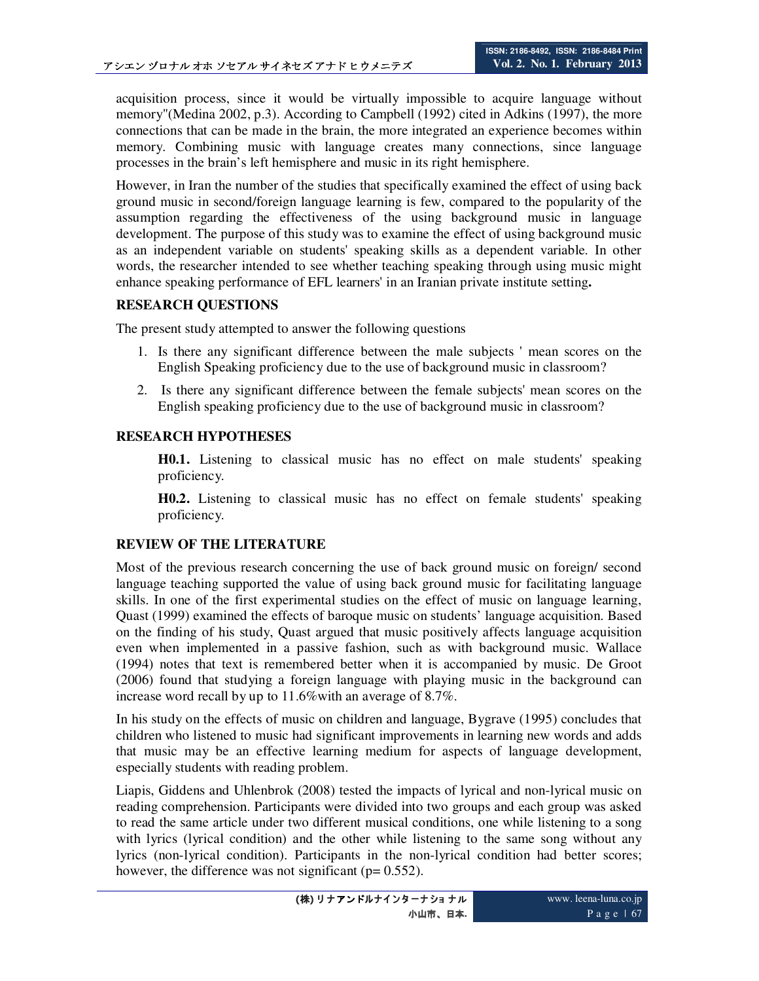acquisition process, since it would be virtually impossible to acquire language without memory"(Medina 2002, p.3). According to Campbell (1992) cited in Adkins (1997), the more connections that can be made in the brain, the more integrated an experience becomes within memory. Combining music with language creates many connections, since language processes in the brain's left hemisphere and music in its right hemisphere.

However, in Iran the number of the studies that specifically examined the effect of using back ground music in second/foreign language learning is few, compared to the popularity of the assumption regarding the effectiveness of the using background music in language development. The purpose of this study was to examine the effect of using background music as an independent variable on students' speaking skills as a dependent variable. In other words, the researcher intended to see whether teaching speaking through using music might enhance speaking performance of EFL learners' in an Iranian private institute setting**.** 

## **RESEARCH QUESTIONS**

The present study attempted to answer the following questions

- 1. Is there any significant difference between the male subjects ' mean scores on the English Speaking proficiency due to the use of background music in classroom?
- 2. Is there any significant difference between the female subjects' mean scores on the English speaking proficiency due to the use of background music in classroom?

## **RESEARCH HYPOTHESES**

**H0.1.** Listening to classical music has no effect on male students' speaking proficiency.

**H0.2.** Listening to classical music has no effect on female students' speaking proficiency.

## **REVIEW OF THE LITERATURE**

Most of the previous research concerning the use of back ground music on foreign/ second language teaching supported the value of using back ground music for facilitating language skills. In one of the first experimental studies on the effect of music on language learning, Quast (1999) examined the effects of baroque music on students' language acquisition. Based on the finding of his study, Quast argued that music positively affects language acquisition even when implemented in a passive fashion, such as with background music. Wallace (1994) notes that text is remembered better when it is accompanied by music. De Groot (2006) found that studying a foreign language with playing music in the background can increase word recall by up to 11.6%with an average of 8.7%.

In his study on the effects of music on children and language, Bygrave (1995) concludes that children who listened to music had significant improvements in learning new words and adds that music may be an effective learning medium for aspects of language development, especially students with reading problem.

Liapis, Giddens and Uhlenbrok (2008) tested the impacts of lyrical and non-lyrical music on reading comprehension. Participants were divided into two groups and each group was asked to read the same article under two different musical conditions, one while listening to a song with lyrics (lyrical condition) and the other while listening to the same song without any lyrics (non-lyrical condition). Participants in the non-lyrical condition had better scores; however, the difference was not significant ( $p= 0.552$ ).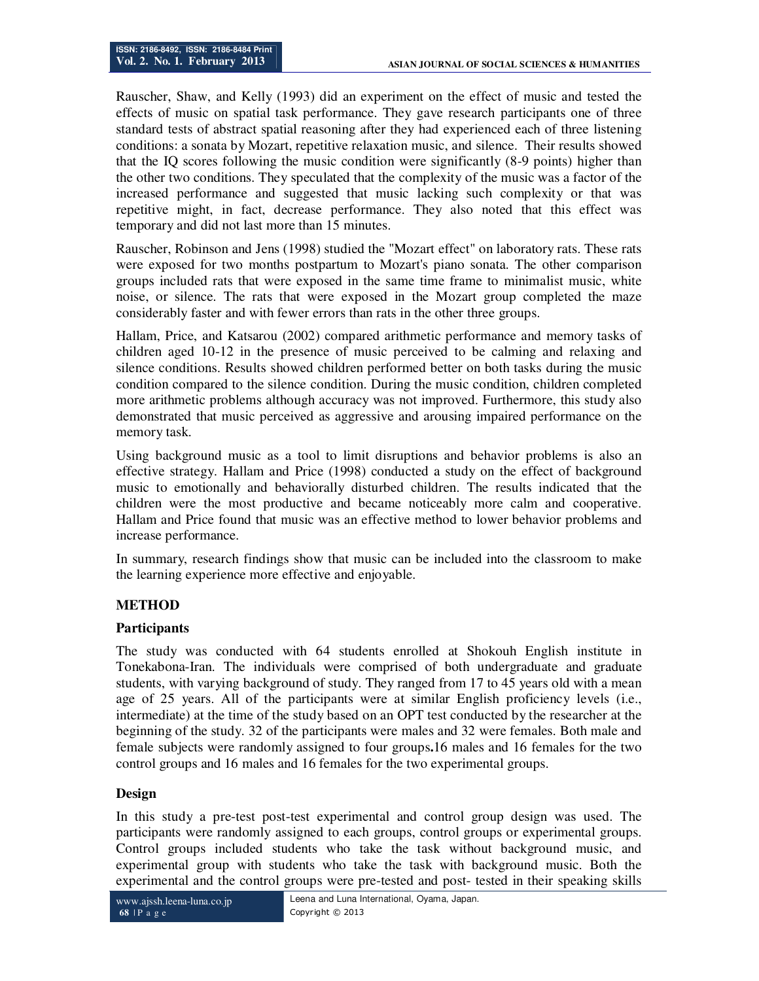Rauscher, Shaw, and Kelly (1993) did an experiment on the effect of music and tested the effects of music on spatial task performance. They gave research participants one of three standard tests of abstract spatial reasoning after they had experienced each of three listening conditions: a sonata by Mozart, repetitive relaxation music, and silence. Their results showed that the IQ scores following the music condition were significantly (8-9 points) higher than the other two conditions. They speculated that the complexity of the music was a factor of the increased performance and suggested that music lacking such complexity or that was repetitive might, in fact, decrease performance. They also noted that this effect was temporary and did not last more than 15 minutes.

Rauscher, Robinson and Jens (1998) studied the "Mozart effect" on laboratory rats. These rats were exposed for two months postpartum to Mozart's piano sonata. The other comparison groups included rats that were exposed in the same time frame to minimalist music, white noise, or silence. The rats that were exposed in the Mozart group completed the maze considerably faster and with fewer errors than rats in the other three groups.

Hallam, Price, and Katsarou (2002) compared arithmetic performance and memory tasks of children aged 10-12 in the presence of music perceived to be calming and relaxing and silence conditions. Results showed children performed better on both tasks during the music condition compared to the silence condition. During the music condition, children completed more arithmetic problems although accuracy was not improved. Furthermore, this study also demonstrated that music perceived as aggressive and arousing impaired performance on the memory task.

Using background music as a tool to limit disruptions and behavior problems is also an effective strategy. Hallam and Price (1998) conducted a study on the effect of background music to emotionally and behaviorally disturbed children. The results indicated that the children were the most productive and became noticeably more calm and cooperative. Hallam and Price found that music was an effective method to lower behavior problems and increase performance.

In summary, research findings show that music can be included into the classroom to make the learning experience more effective and enjoyable.

# **METHOD**

## **Participants**

The study was conducted with 64 students enrolled at Shokouh English institute in Tonekabona-Iran. The individuals were comprised of both undergraduate and graduate students, with varying background of study. They ranged from 17 to 45 years old with a mean age of 25 years. All of the participants were at similar English proficiency levels (i.e., intermediate) at the time of the study based on an OPT test conducted by the researcher at the beginning of the study. 32 of the participants were males and 32 were females. Both male and female subjects were randomly assigned to four groups**.**16 males and 16 females for the two control groups and 16 males and 16 females for the two experimental groups.

# **Design**

In this study a pre-test post-test experimental and control group design was used. The participants were randomly assigned to each groups, control groups or experimental groups. Control groups included students who take the task without background music, and experimental group with students who take the task with background music. Both the experimental and the control groups were pre-tested and post- tested in their speaking skills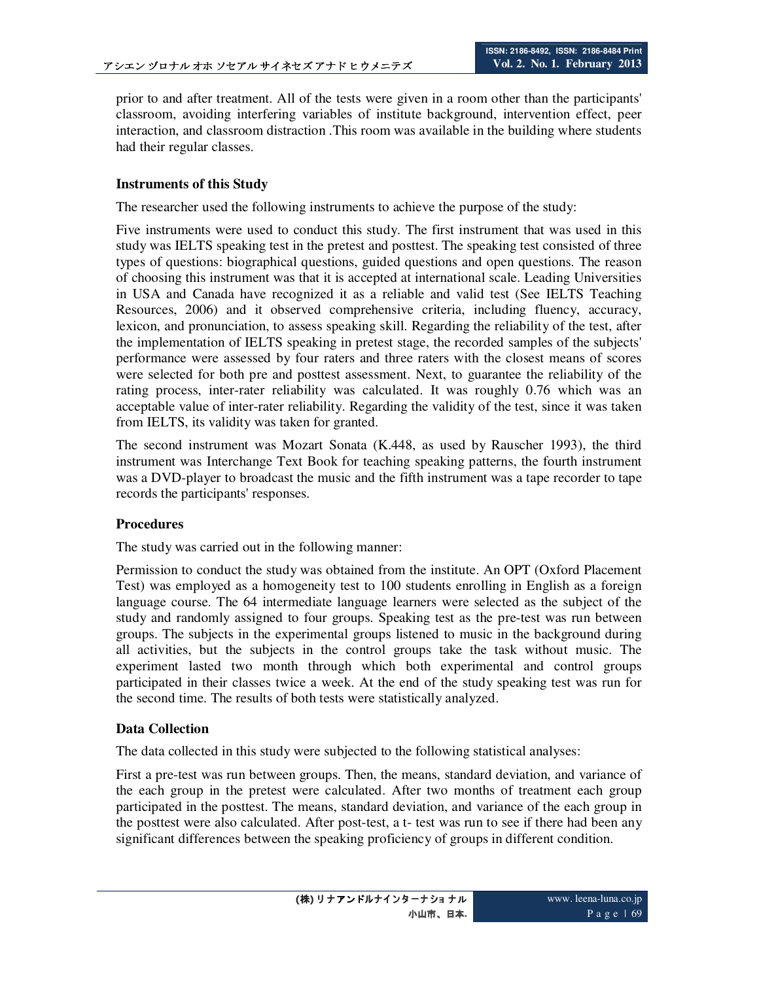prior to and after treatment. All of the tests were given in a room other than the participants' classroom, avoiding interfering variables of institute background, intervention effect, peer interaction, and classroom distraction .This room was available in the building where students had their regular classes.

## **Instruments of this Study**

The researcher used the following instruments to achieve the purpose of the study:

Five instruments were used to conduct this study. The first instrument that was used in this study was IELTS speaking test in the pretest and posttest. The speaking test consisted of three types of questions: biographical questions, guided questions and open questions. The reason of choosing this instrument was that it is accepted at international scale. Leading Universities in USA and Canada have recognized it as a reliable and valid test (See IELTS Teaching Resources, 2006) and it observed comprehensive criteria, including fluency, accuracy, lexicon, and pronunciation, to assess speaking skill. Regarding the reliability of the test, after the implementation of IELTS speaking in pretest stage, the recorded samples of the subjects' performance were assessed by four raters and three raters with the closest means of scores were selected for both pre and posttest assessment. Next, to guarantee the reliability of the rating process, inter-rater reliability was calculated. It was roughly 0.76 which was an acceptable value of inter-rater reliability. Regarding the validity of the test, since it was taken from IELTS, its validity was taken for granted.

The second instrument was Mozart Sonata (K.448, as used by Rauscher 1993), the third instrument was Interchange Text Book for teaching speaking patterns, the fourth instrument was a DVD-player to broadcast the music and the fifth instrument was a tape recorder to tape records the participants' responses.

## **Procedures**

The study was carried out in the following manner:

Permission to conduct the study was obtained from the institute. An OPT (Oxford Placement Test) was employed as a homogeneity test to 100 students enrolling in English as a foreign language course. The 64 intermediate language learners were selected as the subject of the study and randomly assigned to four groups. Speaking test as the pre-test was run between groups. The subjects in the experimental groups listened to music in the background during all activities, but the subjects in the control groups take the task without music. The experiment lasted two month through which both experimental and control groups participated in their classes twice a week. At the end of the study speaking test was run for the second time. The results of both tests were statistically analyzed.

## **Data Collection**

The data collected in this study were subjected to the following statistical analyses:

First a pre-test was run between groups. Then, the means, standard deviation, and variance of the each group in the pretest were calculated. After two months of treatment each group participated in the posttest. The means, standard deviation, and variance of the each group in the posttest were also calculated. After post-test, a t- test was run to see if there had been any significant differences between the speaking proficiency of groups in different condition.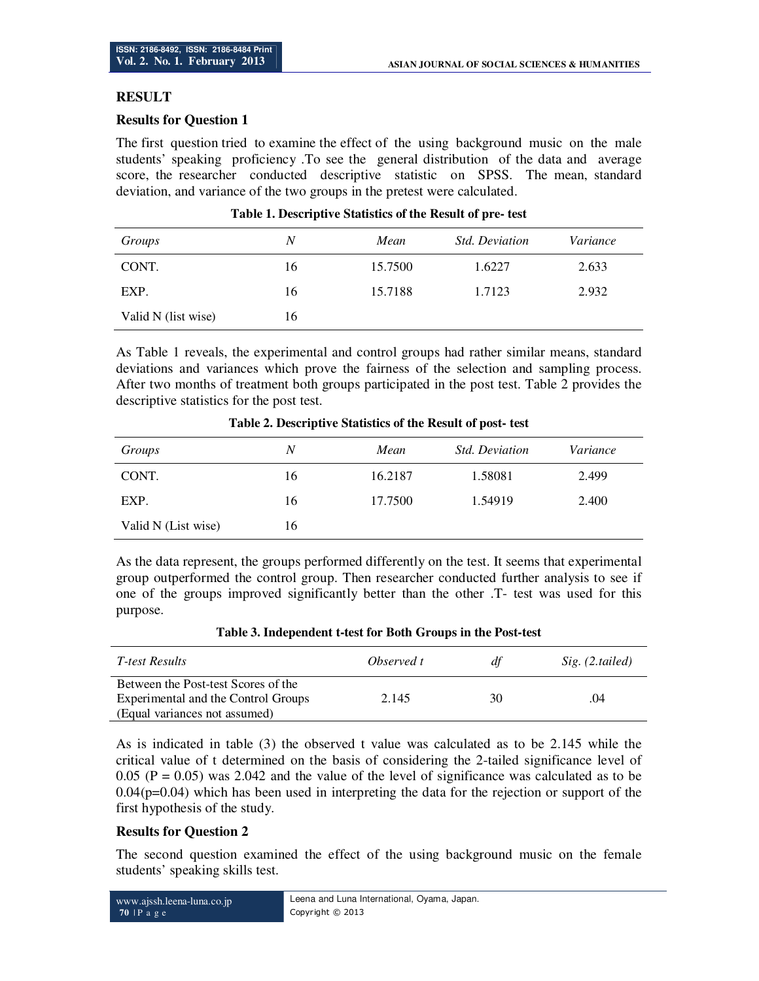## **RESULT**

## **Results for Question 1**

The first question tried to examine the effect of the using background music on the male students' speaking proficiency .To see the general distribution of the data and average score, the researcher conducted descriptive statistic on SPSS. The mean, standard deviation, and variance of the two groups in the pretest were calculated.

| Groups              | N  | Mean    | <b>Std. Deviation</b> | Variance |
|---------------------|----|---------|-----------------------|----------|
| CONT.               | 16 | 15.7500 | 1.6227                | 2.633    |
| EXP.                | 16 | 15.7188 | 1.7123                | 2.932    |
| Valid N (list wise) | 16 |         |                       |          |

| Table 1. Descriptive Statistics of the Result of pre- test |  |  |
|------------------------------------------------------------|--|--|
|------------------------------------------------------------|--|--|

As Table 1 reveals, the experimental and control groups had rather similar means, standard deviations and variances which prove the fairness of the selection and sampling process. After two months of treatment both groups participated in the post test. Table 2 provides the descriptive statistics for the post test.

| Groups              | N  | Mean    | <i>Std. Deviation</i> | Variance |
|---------------------|----|---------|-----------------------|----------|
| CONT.               | 16 | 16.2187 | 1.58081               | 2.499    |
| EXP.                | 16 | 17.7500 | 1.54919               | 2.400    |
| Valid N (List wise) | 16 |         |                       |          |

**Table 2. Descriptive Statistics of the Result of post- test** 

As the data represent, the groups performed differently on the test. It seems that experimental group outperformed the control group. Then researcher conducted further analysis to see if one of the groups improved significantly better than the other .T- test was used for this purpose.

| <i>T-test Results</i>               | Observed t | dt | Sig. (2.tailed) |
|-------------------------------------|------------|----|-----------------|
| Between the Post-test Scores of the |            |    |                 |
| Experimental and the Control Groups | 2.145      | 30 | .04             |
| (Equal variances not assumed)       |            |    |                 |

As is indicated in table (3) the observed t value was calculated as to be 2.145 while the critical value of t determined on the basis of considering the 2-tailed significance level of 0.05 ( $P = 0.05$ ) was 2.042 and the value of the level of significance was calculated as to be  $0.04(p=0.04)$  which has been used in interpreting the data for the rejection or support of the first hypothesis of the study.

## **Results for Question 2**

The second question examined the effect of the using background music on the female students' speaking skills test.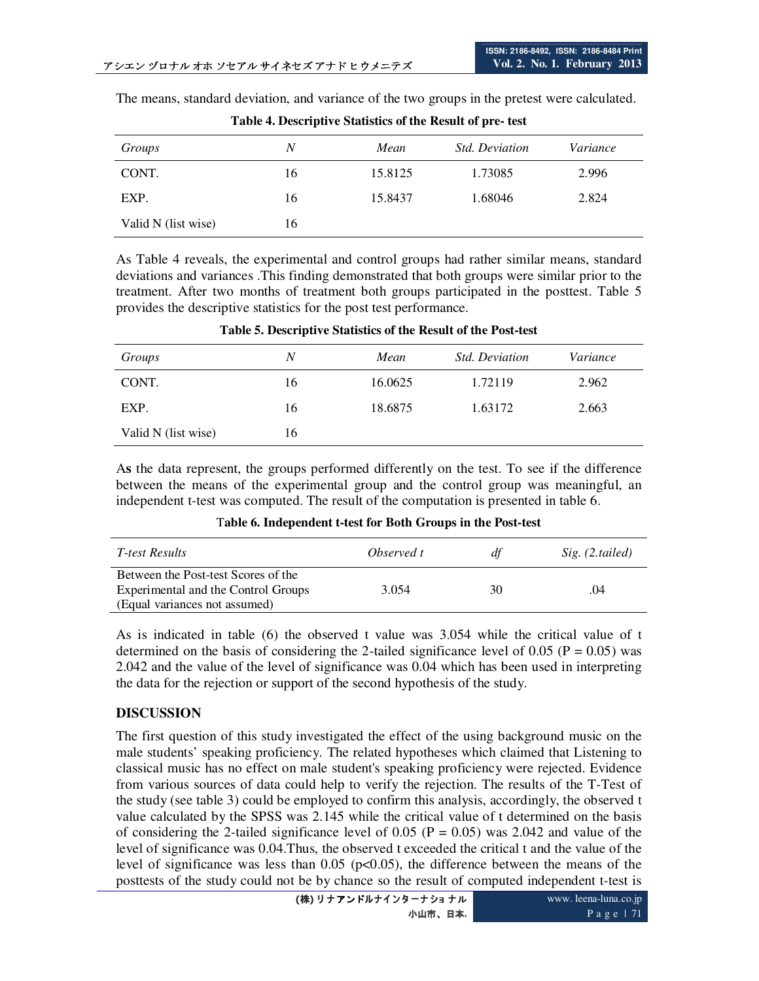| Groups              | N  | Mean    | <i>Std. Deviation</i> | Variance |
|---------------------|----|---------|-----------------------|----------|
| CONT.               | 16 | 15.8125 | 1.73085               | 2.996    |
| EXP.                | 16 | 15.8437 | 1.68046               | 2.824    |
| Valid N (list wise) | 16 |         |                       |          |

The means, standard deviation, and variance of the two groups in the pretest were calculated. **Table 4. Descriptive Statistics of the Result of pre- test** 

| As Table 4 reveals, the experimental and control groups had rather similar means, standard     |
|------------------------------------------------------------------------------------------------|
| deviations and variances. This finding demonstrated that both groups were similar prior to the |
| treatment. After two months of treatment both groups participated in the posttest. Table 5     |
| provides the descriptive statistics for the post test performance.                             |

**Table 5. Descriptive Statistics of the Result of the Post-test** 

| Groups              | N  | Mean    | <i>Std. Deviation</i> | Variance |
|---------------------|----|---------|-----------------------|----------|
| CONT.               | 16 | 16.0625 | 1.72119               | 2.962    |
| EXP.                | 16 | 18.6875 | 1.63172               | 2.663    |
| Valid N (list wise) | 16 |         |                       |          |

A**s** the data represent, the groups performed differently on the test. To see if the difference between the means of the experimental group and the control group was meaningful, an independent t-test was computed. The result of the computation is presented in table 6.

| T-test Results                      | Observed t | df | Sig. (2.tailed) |
|-------------------------------------|------------|----|-----------------|
|                                     |            |    |                 |
| Between the Post-test Scores of the |            |    |                 |
| Experimental and the Control Groups | 3.054      | 30 | .04             |
| (Equal variances not assumed)       |            |    |                 |

T**able 6. Independent t-test for Both Groups in the Post-test** 

As is indicated in table (6) the observed t value was 3.054 while the critical value of t determined on the basis of considering the 2-tailed significance level of 0.05 ( $P = 0.05$ ) was 2.042 and the value of the level of significance was 0.04 which has been used in interpreting the data for the rejection or support of the second hypothesis of the study.

## **DISCUSSION**

The first question of this study investigated the effect of the using background music on the male students' speaking proficiency. The related hypotheses which claimed that Listening to classical music has no effect on male student's speaking proficiency were rejected. Evidence from various sources of data could help to verify the rejection. The results of the T-Test of the study (see table 3) could be employed to confirm this analysis, accordingly, the observed t value calculated by the SPSS was 2.145 while the critical value of t determined on the basis of considering the 2-tailed significance level of 0.05 ( $P = 0.05$ ) was 2.042 and value of the level of significance was 0.04.Thus, the observed t exceeded the critical t and the value of the level of significance was less than  $0.05$  ( $p<0.05$ ), the difference between the means of the posttests of the study could not be by chance so the result of computed independent t-test is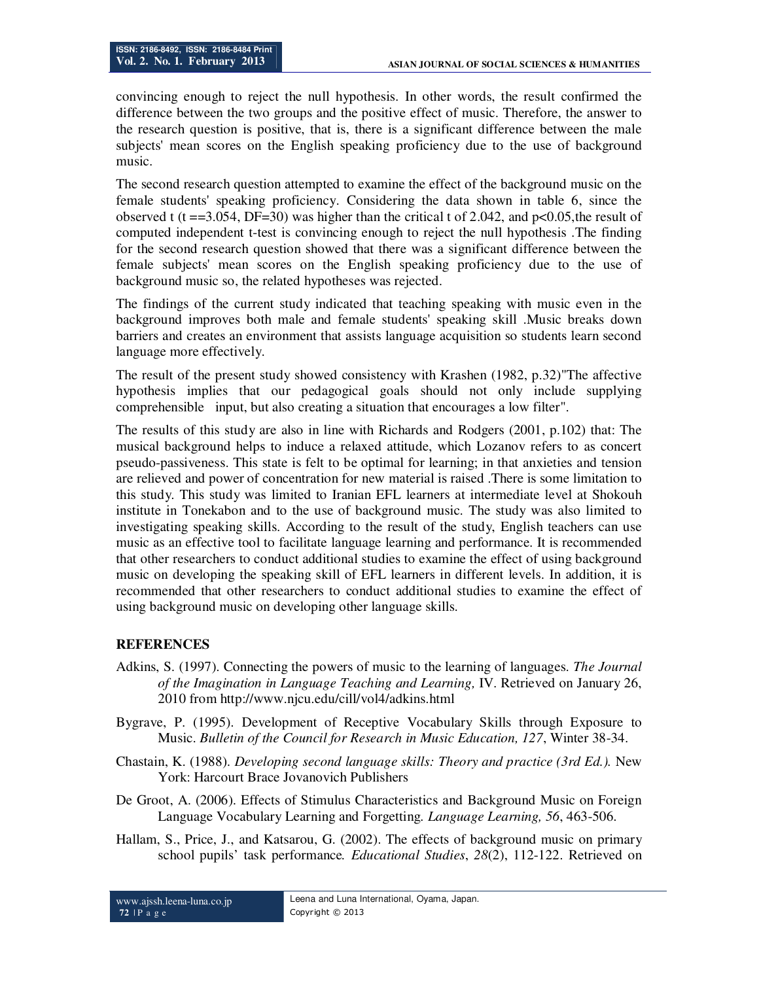convincing enough to reject the null hypothesis. In other words, the result confirmed the difference between the two groups and the positive effect of music. Therefore, the answer to the research question is positive, that is, there is a significant difference between the male subjects' mean scores on the English speaking proficiency due to the use of background music.

The second research question attempted to examine the effect of the background music on the female students' speaking proficiency. Considering the data shown in table 6, since the observed t (t ==3.054, DF=30) was higher than the critical t of 2.042, and  $p<0.05$ , the result of computed independent t-test is convincing enough to reject the null hypothesis .The finding for the second research question showed that there was a significant difference between the female subjects' mean scores on the English speaking proficiency due to the use of background music so, the related hypotheses was rejected.

The findings of the current study indicated that teaching speaking with music even in the background improves both male and female students' speaking skill .Music breaks down barriers and creates an environment that assists language acquisition so students learn second language more effectively.

The result of the present study showed consistency with Krashen (1982, p.32)"The affective hypothesis implies that our pedagogical goals should not only include supplying comprehensible input, but also creating a situation that encourages a low filter".

The results of this study are also in line with Richards and Rodgers (2001, p.102) that: The musical background helps to induce a relaxed attitude, which Lozanov refers to as concert pseudo-passiveness. This state is felt to be optimal for learning; in that anxieties and tension are relieved and power of concentration for new material is raised .There is some limitation to this study. This study was limited to Iranian EFL learners at intermediate level at Shokouh institute in Tonekabon and to the use of background music. The study was also limited to investigating speaking skills. According to the result of the study, English teachers can use music as an effective tool to facilitate language learning and performance. It is recommended that other researchers to conduct additional studies to examine the effect of using background music on developing the speaking skill of EFL learners in different levels. In addition, it is recommended that other researchers to conduct additional studies to examine the effect of using background music on developing other language skills.

# **REFERENCES**

- Adkins, S. (1997). Connecting the powers of music to the learning of languages. *The Journal of the Imagination in Language Teaching and Learning,* IV. Retrieved on January 26, 2010 from http://www.njcu.edu/cill/vol4/adkins.html
- Bygrave, P. (1995). Development of Receptive Vocabulary Skills through Exposure to Music. *Bulletin of the Council for Research in Music Education, 127*, Winter 38-34.
- Chastain, K. (1988). *Developing second language skills: Theory and practice (3rd Ed.).* New York: Harcourt Brace Jovanovich Publishers
- De Groot, A. (2006). Effects of Stimulus Characteristics and Background Music on Foreign Language Vocabulary Learning and Forgetting*. Language Learning, 56*, 463-506.
- Hallam, S., Price, J., and Katsarou, G. (2002). The effects of background music on primary school pupils' task performance*. Educational Studies*, *28*(2), 112-122. Retrieved on